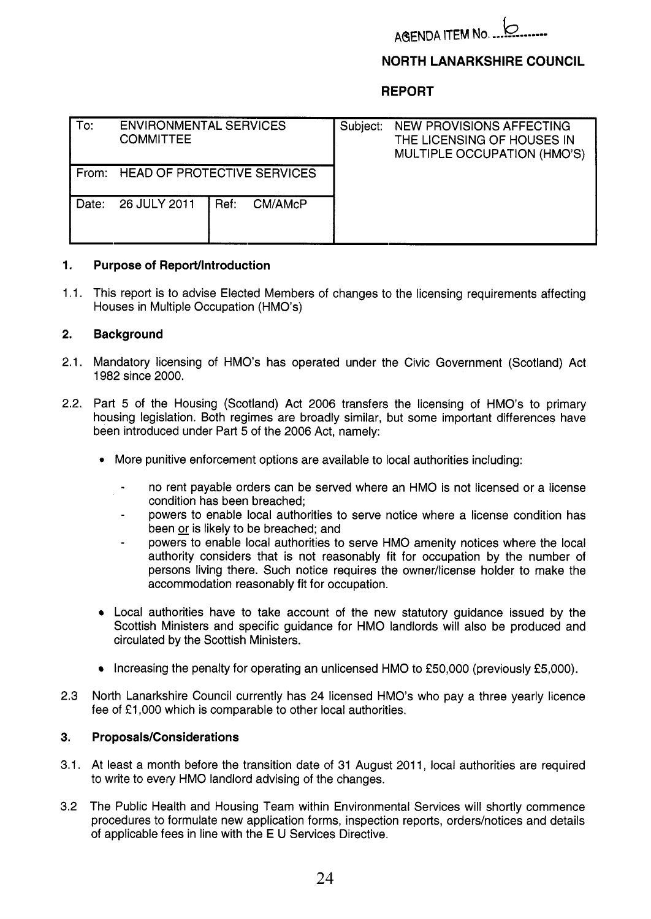

# **NORTH LANARKSHIRE COUNCIL**

## **REPORT**

| To:   | <b>ENVIRONMENTAL SERVICES</b><br><b>COMMITTEE</b> |                 | Subject: | NEW PROVISIONS AFFECTING<br>THE LICENSING OF HOUSES IN<br>MULTIPLE OCCUPATION (HMO'S) |
|-------|---------------------------------------------------|-----------------|----------|---------------------------------------------------------------------------------------|
| From: | <b>HEAD OF PROTECTIVE SERVICES</b>                |                 |          |                                                                                       |
| Date: | 26 JULY 2011                                      | Ref:<br>CM/AMcP |          |                                                                                       |

## **1. Purpose of ReporVlntroduction**

1 .I. This report is to advise Elected Members of changes to the licensing requirements affecting Houses in Multiple Occupation (HMO's)

## **2. Background**

- 2.1. Mandatory licensing of HMO's has operated under the Civic Government (Scotland) Act 1982 since 2000.
- 2.2. Part 5 of the Housing (Scotland) Act 2006 transfers the licensing of HMO's to primary housing legislation. Both regimes are broadly similar, but some important differences have been introduced under Part *5* of the 2006 Act, namely:
	- *0* More punitive enforcement options are available to local authorities including:
		- no rent payable orders can be served where an HMO is not licensed or a license condition has been breached;
		- powers to enable local authorities to serve notice where a license condition has been <u>or</u> is likely to be breached; and
		- powers to enable local authorities to serve HMO amenity notices where the local authority considers that is not reasonably fit for occupation by the number of persons living there. Such notice requires the owner/license holder to make the accommodation reasonably fit for occupation.
	- Local authorities have to take account of the new statutory guidance issued by the Scottish Ministers and specific guidance for HMO landlords will also be produced and circulated by the Scottish Ministers.
	- Increasing the penalty for operating an unlicensed HMO to £50,000 (previously £5,000).
- 2.3 North Lanarkshire Council currently has 24 licensed HMO's who pay a three yearly licence fee of £1,000 which is comparable to other local authorities.

#### **3. Proposals/Considerations**

- 3.1. At least a month before the transition date of 31 August 2011, local authorities are required to write to every HMO landlord advising of the changes.
- 3.2 The Public Health and Housing Team within Environmental Services will shortly commence procedures to formulate new application forms, inspection reports, orders/notices and details of applicable fees in line with the E U Services Directive.